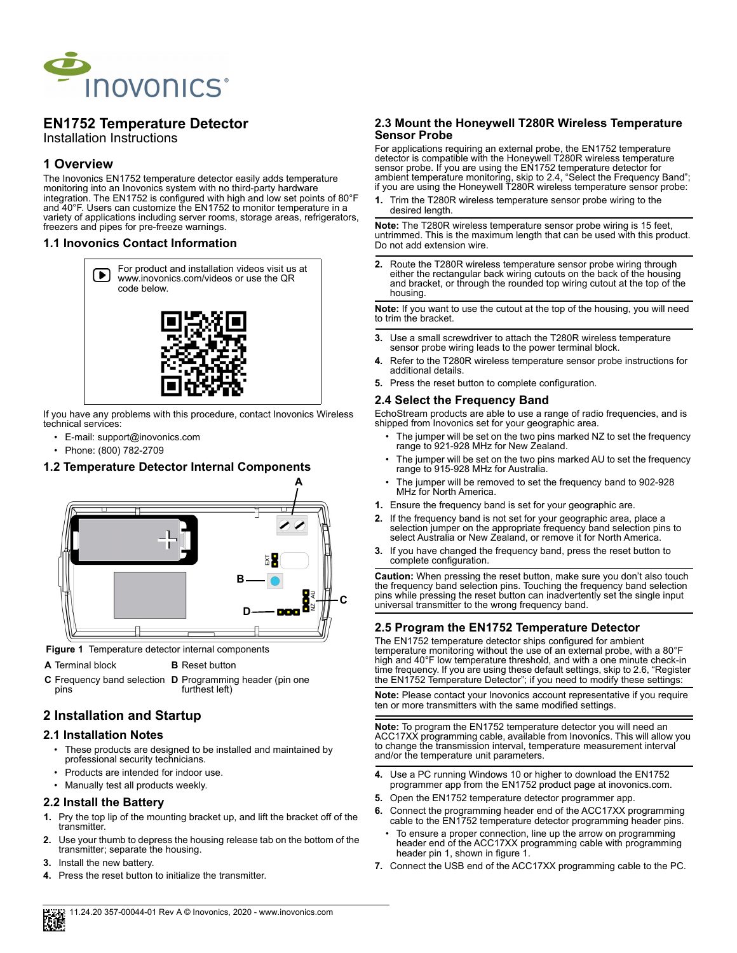

# **EN1752 Temperature Detector**

Installation Instructions

## **1 Overview**

The Inovonics EN1752 temperature detector easily adds temperature monitoring into an Inovonics system with no third-party hardware integration. The EN1752 is configured with high and low set points of 80°F and 40°F. Users can customize the EN1752 to monitor temperature in a variety of applications including server rooms, storage areas, refrigerators, freezers and pipes for pre-freeze warnings.

### **1.1 Inovonics Contact Information**



If you have any problems with this procedure, contact Inovonics Wireless technical services:

- E-mail: support@inovonics.com
- Phone: (800) 782-2709

## **1.2 Temperature Detector Internal Components**



 **Figure 1** Temperature detector internal components

**A** Terminal block **B** Reset button

**C** Frequency band selection **D** Programming header (pin one pins furthest left)

## **2 Installation and Startup**

#### **2.1 Installation Notes**

- These products are designed to be installed and maintained by professional security technicians.
- Products are intended for indoor use.
- Manually test all products weekly.

## **2.2 Install the Battery**

- **1.** Pry the top lip of the mounting bracket up, and lift the bracket off of the transmitter.
- **2.** Use your thumb to depress the housing release tab on the bottom of the transmitter; separate the housing.
- **3.** Install the new battery.
- **4.** Press the reset button to initialize the transmitter.

#### **2.3 Mount the Honeywell T280R Wireless Temperature Sensor Probe**

For applications requiring an external probe, the EN1752 temperature detector is compatible with the Honeywell T280R wireless temperature sensor probe. If you are using the EN1752 temperature detector for ambient temperature monitoring, skip to 2.4, "Select the Frequency Band"; if you are using the Honeywell T280R wireless temperature sensor probe:

**1.** Trim the T280R wireless temperature sensor probe wiring to the desired length.

**Note:** The T280R wireless temperature sensor probe wiring is 15 feet, untrimmed. This is the maximum length that can be used with this product. Do not add extension wire.

**2.** Route the T280R wireless temperature sensor probe wiring through either the rectangular back wiring cutouts on the back of the housing and bracket, or through the rounded top wiring cutout at the top of the housing.

**Note:** If you want to use the cutout at the top of the housing, you will need to trim the bracket.

- **3.** Use a small screwdriver to attach the T280R wireless temperature sensor probe wiring leads to the power terminal block.
- **4.** Refer to the T280R wireless temperature sensor probe instructions for additional details.
- **5.** Press the reset button to complete configuration.

### **2.4 Select the Frequency Band**

EchoStream products are able to use a range of radio frequencies, and is shipped from Inovonics set for your geographic area.

- The jumper will be set on the two pins marked NZ to set the frequency range to 921-928 MHz for New Zealand.
- The jumper will be set on the two pins marked AU to set the frequency range to 915-928 MHz for Australia.
- The jumper will be removed to set the frequency band to 902-928 MHz for North America.
- **1.** Ensure the frequency band is set for your geographic are.
- **2.** If the frequency band is not set for your geographic area, place a selection jumper on the appropriate frequency band selection pins to select Australia or New Zealand, or remove it for North America.
- **3.** If you have changed the frequency band, press the reset button to complete configuration.

**Caution:** When pressing the reset button, make sure you don't also touch the frequency band selection pins. Touching the frequency band selection pins while pressing the reset button can inadvertently set the single input universal transmitter to the wrong frequency band.

## **2.5 Program the EN1752 Temperature Detector**

The EN1752 temperature detector ships configured for ambient temperature monitoring without the use of an external probe, with a 80°F high and 40°F low temperature threshold, and with a one minute check-in time frequency. If you are using these default settings, skip to 2.6, "Register the EN1752 Temperature Detector"; if you need to modify these settings:

**Note:** Please contact your Inovonics account representative if you require ten or more transmitters with the same modified settings.

**Note:** To program the EN1752 temperature detector you will need an ACC17XX programming cable, available from Inovonics. This will allow you to change the transmission interval, temperature measurement interval and/or the temperature unit parameters.

- **4.** Use a PC running Windows 10 or higher to download the EN1752 programmer app from the EN1752 product page at inovonics.com.
- **5.** Open the EN1752 temperature detector programmer app.
- **6.** Connect the programming header end of the ACC17XX programming cable to the EN1752 temperature detector programming header pins.
- To ensure a proper connection, line up the arrow on programming header end of the ACC17XX programming cable with programming header pin 1, shown in figure 1.
- **7.** Connect the USB end of the ACC17XX programming cable to the PC.